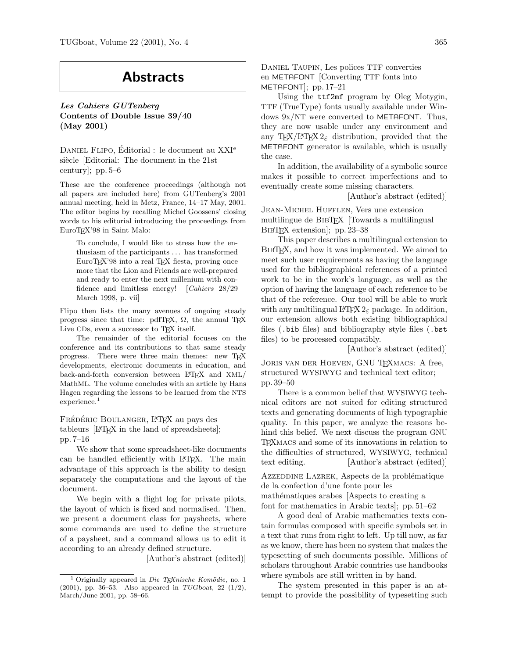## Abstracts

Les Cahiers GUTenberg Contents of Double Issue 39/40 (May 2001)

DANIEL FLIPO, Éditorial : le document au XXI<sup>e</sup> siècle [Editorial: The document in the 21st century]; pp. 5–6

These are the conference proceedings (although not all papers are included here) from GUTenberg's 2001 annual meeting, held in Metz, France, 14–17 May, 2001. The editor begins by recalling Michel Goossens' closing words to his editorial introducing the proceedings from EuroTEX'98 in Saint Malo:

To conclude, I would like to stress how the enthusiasm of the participants . . . has transformed EuroT<sub>F</sub>X'98 into a real T<sub>E</sub>X fiesta, proving once more that the Lion and Friends are well-prepared and ready to enter the next millenium with confidence and limitless energy! [Cahiers 28/29 March 1998, p. vii]

Flipo then lists the many avenues of ongoing steady progress since that time: pdfTEX,  $\Omega$ , the annual TEX Live CDs, even a successor to TFX itself.

The remainder of the editorial focuses on the conference and its contributions to that same steady progress. There were three main themes: new TEX developments, electronic documents in education, and back-and-forth conversion between L<sup>AT</sup>EX and XML/ MathML. The volume concludes with an article by Hans Hagen regarding the lessons to be learned from the NTS experience.<sup>1</sup>

FRÉDÉRIC BOULANGER, LATEX au pays des tableurs [LAT<sub>EX</sub> in the land of spreadsheets]; pp. 7–16

We show that some spreadsheet-like documents can be handled efficiently with LATEX. The main advantage of this approach is the ability to design separately the computations and the layout of the document.

We begin with a flight log for private pilots, the layout of which is fixed and normalised. Then, we present a document class for paysheets, where some commands are used to define the structure of a paysheet, and a command allows us to edit it according to an already defined structure.

[Author's abstract (edited)]

Daniel Taupin, Les polices TTF converties en METAFONT [Converting TTF fonts into METAFONT]; pp. 17–21

Using the ttf2mf program by Oleg Motygin, TTF (TrueType) fonts usually available under Windows 9x/NT were converted to METAFONT. Thus, they are now usable under any environment and any TEX/LATEX  $2\varepsilon$  distribution, provided that the METAFONT generator is available, which is usually the case.

In addition, the availability of a symbolic source makes it possible to correct imperfections and to eventually create some missing characters.

[Author's abstract (edited)]

Jean-Michel Hufflen, Vers une extension multilingue de BibTEX [Towards a multilingual BIBT<sub>EX</sub> extension]; pp. 23–38

This paper describes a multilingual extension to BIBT<sub>EX</sub>, and how it was implemented. We aimed to meet such user requirements as having the language used for the bibliographical references of a printed work to be in the work's language, as well as the option of having the language of each reference to be that of the reference. Our tool will be able to work with any multilingual  $\text{LATEX} 2_{\epsilon}$  package. In addition, our extension allows both existing bibliographical files (.bib files) and bibliography style files (.bst files) to be processed compatibly.

[Author's abstract (edited)]

JORIS VAN DER HOEVEN, GNU TEXMACS: A free, structured WYSIWYG and technical text editor; pp. 39–50

There is a common belief that WYSIWYG technical editors are not suited for editing structured texts and generating documents of high typographic quality. In this paper, we analyze the reasons behind this belief. We next discuss the program GNU TEXmacs and some of its innovations in relation to the difficulties of structured, WYSIWYG, technical text editing. [Author's abstract (edited)]

AZZEDDINE LAZREK, Aspects de la problématique de la confection d'une fonte pour les mathématiques arabes [Aspects to creating a font for mathematics in Arabic texts]; pp. 51–62

A good deal of Arabic mathematics texts contain formulas composed with specific symbols set in a text that runs from right to left. Up till now, as far as we know, there has been no system that makes the typesetting of such documents possible. Millions of scholars throughout Arabic countries use handbooks where symbols are still written in by hand.

The system presented in this paper is an attempt to provide the possibility of typesetting such

 $1$  Originally appeared in Die TEXnische Komödie, no. 1  $(2001)$ , pp. 36–53. Also appeared in TUGboat, 22  $(1/2)$ , March/June 2001, pp. 58–66.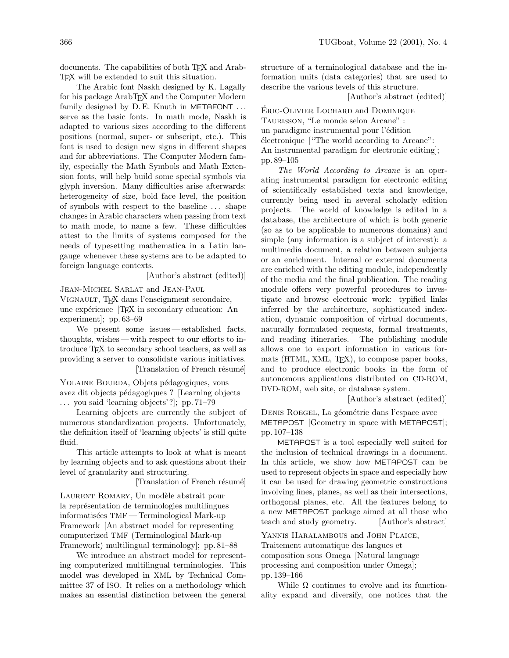documents. The capabilities of both T<sub>E</sub>X and Arab-TEX will be extended to suit this situation.

The Arabic font Naskh designed by K. Lagally for his package ArabTEX and the Computer Modern family designed by  $D.E.$  Knuth in METAFONT  $\ldots$ serve as the basic fonts. In math mode, Naskh is adapted to various sizes according to the different positions (normal, super- or subscript, etc.). This font is used to design new signs in different shapes and for abbreviations. The Computer Modern family, especially the Math Symbols and Math Extension fonts, will help build some special symbols via glyph inversion. Many difficulties arise afterwards: heterogeneity of size, bold face level, the position of symbols with respect to the baseline . . . shape changes in Arabic characters when passing from text to math mode, to name a few. These difficulties attest to the limits of systems composed for the needs of typesetting mathematica in a Latin langauge whenever these systems are to be adapted to foreign language contexts.

[Author's abstract (edited)]

Jean-Michel Sarlat and Jean-Paul

Vignault, TEX dans l'enseignment secondaire, une expérience  $[T<sub>E</sub>X$  in secondary education: An experiment]; pp. 63–69

We present some issues — established facts, thoughts, wishes — with respect to our efforts to introduce TEX to secondary school teachers, as well as providing a server to consolidate various initiatives. [Translation of French résumé]

YOLAINE BOURDA, Objets pédagogiques, vous avez dit objects pédagogiques ? [Learning objects . . . you said 'learning objects'?]; pp. 71–79

Learning objects are currently the subject of numerous standardization projects. Unfortunately, the definition itself of 'learning objects' is still quite fluid.

This article attempts to look at what is meant by learning objects and to ask questions about their level of granularity and structuring.

[Translation of French résumé]

LAURENT ROMARY, Un modèle abstrait pour la représentation de terminologies multilingues informatisées TMF — Terminological Mark-up Framework [An abstract model for representing computerized TMF (Terminological Mark-up Framework) multilingual terminology]; pp. 81–88

We introduce an abstract model for representing computerized multilingual terminologies. This model was developed in XML by Technical Committee 37 of ISO. It relies on a methodology which makes an essential distinction between the general structure of a terminological database and the information units (data categories) that are used to describe the various levels of this structure.

[Author's abstract (edited)]

ERIC-OLIVIER LOCHARD and DOMINIQUE Taurisson, "Le monde selon Arcane" : un paradigme instrumental pour l'édition  $\acute{e}$ lectronique  $\acute{ }$  ("The world according to Arcane": An instrumental paradigm for electronic editing]; pp. 89–105

The World According to Arcane is an operating instrumental paradigm for electronic editing of scientifically established texts and knowledge, currently being used in several scholarly edition projects. The world of knowledge is edited in a database, the architecture of which is both generic (so as to be applicable to numerous domains) and simple (any information is a subject of interest): a multimedia document, a relation between subjects or an enrichment. Internal or external documents are enriched with the editing module, independently of the media and the final publication. The reading module offers very powerful procedures to investigate and browse electronic work: typified links inferred by the architecture, sophisticated indexation, dynamic composition of virtual documents, naturally formulated requests, formal treatments, and reading itineraries. The publishing module allows one to export information in various formats (HTML, XML, T<sub>F</sub>X), to compose paper books, and to produce electronic books in the form of autonomous applications distributed on CD-ROM, DVD-ROM, web site, or database system.

[Author's abstract (edited)]

DENIS ROEGEL, La géométrie dans l'espace avec METAPOST [Geometry in space with METAPOST]; pp. 107–138

METAPOST is a tool especially well suited for the inclusion of technical drawings in a document. In this article, we show how METAPOST can be used to represent objects in space and especially how it can be used for drawing geometric constructions involving lines, planes, as well as their intersections, orthogonal planes, etc. All the features belong to a new METAPOST package aimed at all those who teach and study geometry. [Author's abstract]

Yannis Haralambous and John Plaice,

Traitement automatique des langues et composition sous Omega [Natural language processing and composition under Omega]; pp. 139–166

While  $\Omega$  continues to evolve and its functionality expand and diversify, one notices that the